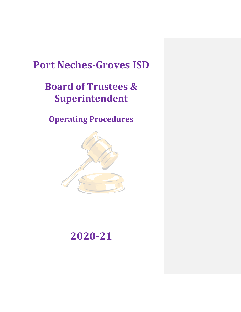# **Port Neches-Groves ISD**

# **Board of Trustees & Superintendent**

**Operating Procedures**



# **2020-21**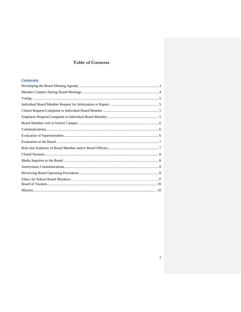# **Table of Contents**

# **Contents**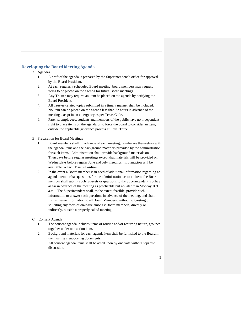# <span id="page-2-0"></span>**Developing the Board Meeting Agenda**

A. Agendas

- 1. A draft of the agenda is prepared by the Superintendent's office for approval by the Board President.
- 2. At each regularly scheduled Board meeting, board members may request items to be placed on the agenda for future Board meetings.
- 3. Any Trustee may request an item be placed on the agenda by notifying the Board President.
- 4. All Trustee-related topics submitted in a timely manner shall be included.
- 5. No item can be placed on the agenda less than 72 hours in advance of the meeting except in an emergency as per Texas Code.
- 6. Parents, employees, students and members of the public have no independent right to place items on the agenda or to force the board to consider an item, outside the applicable grievance process at Level Three.
- B. Preparation for Board Meetings
	- 1. Board members shall, in advance of each meeting, familiarize themselves with the agenda items and the background materials provided by the administration for such items. Administration shall provide background materials on Thursdays before regular meetings except that materials will be provided on Wednesdays before regular June and July meetings. Information will be available to each Trustee online.
	- 2. In the event a Board member is in need of additional information regarding an agenda item, or has questions for the administration as to an item, the Board member shall submit such requests or questions to the Superintendent's office as far in advance of the meeting as practicable but no later than Monday at 9 a.m. The Superintendent shall, to the extent feasible, provide such information or answer such questions in advance of the meeting, and shall furnish same information to all Board Members, without suggesting or soliciting any form of dialogue amongst Board members, directly or indirectly, outside a properly called meeting.
- C. Consent Agenda
	- 1. The consent agenda includes items of routine and/or recurring nature, grouped together under one action item.
	- 2. Background materials for each agenda item shall be furnished to the Board in the meeting's supporting documents.
	- 3. All consent agenda items shall be acted upon by one vote without separate discussion.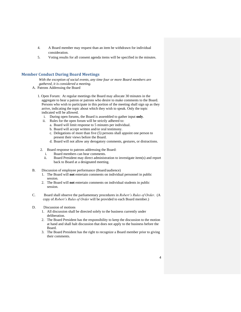- 4. A Board member may request than an item be withdrawn for individual consideration.
- 5. Voting results for all consent agenda items will be specified in the minutes.

#### <span id="page-3-0"></span>**Member Conduct During Board Meetings**

*With the exception of social events, any time four or more Board members are gathered, it is considered a meeting.*

- A. Patrons Addressing the Board
	- 1. Open Forum: At regular meetings the Board may allocate 30 minutes in the aggregate to hear a patron or patrons who desire to make comments to the Board. Persons who wish to participate in this portion of the meeting shall sign up as they arrive, indicating the topic about which they wish to speak. Only the topic indicated will be allowed.
		- i. During open forums, the Board is assembled to gather input **only**.
		- ii. Rules for the open forum will be strictly adhered to:
			- a. Board will limit response to 5 minutes per individual.
			- b. Board will accept written and/or oral testimony.
			- c. Delegations of more than five (5) persons shall appoint one person to present their views before the Board.
			- d. Board will not allow any derogatory comments, gestures, or distractions.
	- 2. Board response to patrons addressing the Board:
		- i. Board members can hear comments.
		- ii. Board President may direct administration to investigate item(s) and report back to Board at a designated meeting.
- B. Discussion of employee performance (Board/audience)
	- 1. The Board will **not** entertain comments on individual personnel in public session.
	- 2. The Board will **not** entertain comments on individual students in public session.
- C. Board shall observe the parliamentary procedures in *Robert's Rules of Order*. (A copy of *Robert's Rules of Order* will be provided to each Board member.)
- D. Discussion of motions
	- 1. All discussion shall be directed solely to the business currently under deliberation.
	- 2. The Board President has the responsibility to keep the discussion to the motion at hand and shall halt discussion that does not apply to the business before the Board.
	- 3. The Board President has the right to recognize a Board member prior to giving their comments.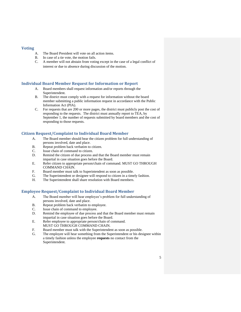#### <span id="page-4-0"></span>**Voting**

- A. The Board President will vote on all action items.
- B. In case of a tie vote, the motion fails.
- C. A member will not abstain from voting except in the case of a legal conflict of interest or due to absence during discussion of the motion.

### <span id="page-4-1"></span>**Individual Board Member Request for Information or Report**

- A. Board members shall request information and/or reports through the Superintendent.
- B. The district must comply with a request for information without the board member submitting a public information request in accordance with the Public Information Act (PIA).
- C. For requests that are 200 or more pages, the district must publicly post the cost of responding to the requests. The district must annually report to TEA, by September 1, the number of requests submitted by board members and the cost of responding to those requests.

# <span id="page-4-2"></span>**Citizen Request/Complaint to Individual Board Member**

- A. The Board member should hear the citizen problem for full understanding of persons involved, date and place.
- B. Repeat problem back verbatim to citizen.
- C. Issue chain of command to citizen.
- D. Remind the citizen of due process and that the Board member must remain impartial in case situation goes before the Board.
- E. Refer citizen to appropriate person/chain of command. MUST GO THROUGH COMMAND CHAIN.
- F. Board member must talk to Superintendent as soon as possible.
- G. The Superintendent or designee will respond to citizen in a timely fashion.
- H. The Superintendent shall share resolution with Board members.

# <span id="page-4-3"></span>**Employee Request/Complaint to Individual Board Member**

- A. The Board member will hear employee's problem for full understanding of persons involved, date and place.
- B. Repeat problem back verbatim to employee.
- C. Issue chain of command to employee.
- D. Remind the employee of due process and that the Board member must remain impartial in case situation goes before the Board.
- E. Refer employee to appropriate person/chain of command. MUST GO THROUGH COMMAND CHAIN.
- F. Board member must talk with the Superintendent as soon as possible.
- G. The employee will hear something from the Superintendent or his designee within a timely fashion unless the employee **requests** no contact from the Superintendent.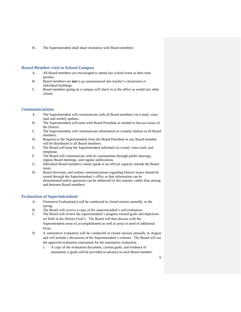H. The Superintendent shall share resolution with Board members.

#### <span id="page-5-0"></span>**Board Member visit to School Campus**

- A. All Board members are encouraged to attend any school event as their time permits.
- B. Board members are **not** to go unannounced into teacher's classrooms or individual buildings.
- C. Board members going on a campus will check in at the office as would any other citizen.

#### <span id="page-5-1"></span>**Communications**

- A. The Superintendent will communicate with all Board members via e-mail, voice mail and weekly updates.
- B. The Superintendent will meet with Board President as needed to discuss issues of the District.
- C. The Superintendent will communicate information in a timely fashion to all Board members.
- D. Requests to the Superintendent from the Board President or any Board member will be distributed to all Board members.
- E. The Board will keep the Superintendent informed via e-mail, voice mail, and telephone.
- F. The Board will communicate with its communities through public hearings, regular Board meetings, and regular publications.
- G. Individual Board members cannot speak in an official capacity outside the Board room.
- H. Board electronic and written communications regarding District issues should be routed through the Superintendent's office so that information can be disseminated and/or questions can be addressed in this manner, rather than among and between Board members.

#### <span id="page-5-2"></span>**Evaluation of Superintendent**

- A. Formative Evaluation(s) will be conducted in closed session annually, in the spring.
- B. The Board will receive a copy of the superintendent's self-evaluation.
- C. The Board will review the superintendent's progress toward goals and objectives set forth in the District Goal's. The Board will then discuss with the Superintendent areas of accomplishment as well as areas in need of additional focus.
- D. A summative evaluation will be conducted in closed session annually in August and will include a discussion of the Superintendent's contract. The Board will use the approved evaluation instrument for the summative evaluation.
	- 1. A copy of the evaluation document, current goals, and evidence of attainment of goals will be provided in advance to each Board member.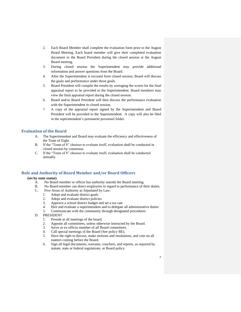- 2. Each Board Member shall complete the evaluation form prior to the August Board Meeting. Each board member will give their completed evaluation document to the Board President during the closed session at the August Board meeting.
- 3. During closed session the Superintendent may provide additional information and answer questions from the Board.
- 4. After the Superintendent is excused from closed session, Board will discuss the goals and performance under those goals.
- 5. Board President will compile the results by averaging the scores for the final appraisal report to be provided to the Superintendent. Board members may view the final appraisal report during the closed session.
- 6. Board and/or Board President will then discuss the performance evaluation with the Superintendent in closed session.
- 7. A copy of the appraisal report signed by the Superintendent and Board President will be provided to the Superintendent. A copy will also be filed in the superintendent's permanent personnel folder.

### <span id="page-6-0"></span>**Evaluation of the Board**

- A. The Superintendent and Board may evaluate the efficiency and effectiveness of the Team of Eight.
- B. If the "Team of 8" chooses to evaluate itself, evaluation shall be conducted in closed session by consensus.
- C. If the "Team of 8" chooses to evaluate itself, evaluation shall be conducted annually.

# <span id="page-6-1"></span>**Role and Authority of Board Member and/or Board Officers**

#### **(set by state statue)**

- A. No Board member or officer has authority outside the Board meeting.
- B. No Board member can direct employees in regard to performance of their duties.
- C. Five Areas of Authority as Stipulated by Law:
	- 1. Adopt and evaluate district goals
	- 2. Adopt and evaluate district policies
	- 3. Approve a school district budget and set a tax rate
	- 4. Hire and evaluate a superintendent and to delegate all administrative duties
	- 5. Communicate with the community through designated procedures
- D. PRESIDENT
	- 1. Preside at all meetings of the board.
	- 2. Appoint all committees, unless otherwise instructed by the Board.
	- 3. Serve as ex-officio member of all Board committees.
	- 4. Call special meetings of the Board (See policy BE).
	- 5. Have the right to discuss, make motions and resolutions, and vote on all matters coming before the Board.
	- 6. Sign all legal documents, warrants, vouchers, and reports, as required by statute, state or federal regulations, or Board policy.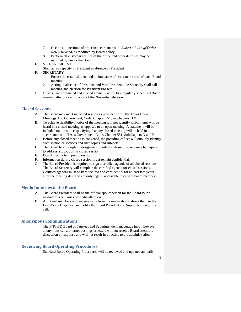- 7. Decide all questions of order in accordance with *Robert's Rules of Order, Newly Revised***,** as modified by Board policy.
- 8. Perform all customary duties of the office and other duties as may be required by law or the Board.
- E. VICE PRESIDENT

Shall act in capacity of President in absence of President

- F. SECRETARY
	- 1. Ensure the establishment and maintenance of accurate records of each Board meeting.
	- 2. Acting in absence of President and Vice President, the Secretary shall call meeting and election for President Pro-tem.
- G. Officers are nominated and elected annually at the first regularly scheduled Board meeting after the certification of the November election.

#### <span id="page-7-0"></span>**Closed Sessions**

- A. The Board may meet in closed session as provided for in the Texas Open Meetings Act, Government, Code, Chapter 551, subchapters D & E.
- B. To achieve flexibility, notice of the meeting will not identify which items will be heard in a closed meeting as opposed to an open meeting. A statement will be included on the notice specifying that any closed meeting will be held in accordance with Texas Government Code, Chapter 551, Subchapters D and E.
- C. Before any closed meeting is convened, the presiding officer will publicly identify such section or sections and such topics and subjects.
- D. The Board has the right to designate individuals whose presence may be required to address a topic during closed session.
- E. Board must vote in public session.
- F. Information during closed session **must** remain confidential.
- G. The Board President is required to sign a certified agenda of all closed sessions. The Board Secretary will complete the certified agenda for closed sessions. Certified agendas must be kept secured and confidential for at least two years after the meeting date and are only legally accessible to current board members.

#### <span id="page-7-1"></span>**Media Inquiries to the Board**

- A. The Board President shall be the official spokesperson for the Board to the media/press on issues of media attention.
- B. All Board members who receive calls from the media should direct them to the Board's spokesperson and notify the Board President and Superintendent of the call.

#### <span id="page-7-2"></span>**Anonymous Communications**

The PNGISD Board of Trustees and Superintendent encourage input; however, anonymous calls, internet postings or letters will not receive Board attention, discussion or response and will not result in directive to the administration.

#### <span id="page-7-3"></span>**Reviewing Board Operating Procedures**

Standard Board Operating Procedures will be reviewed and updated annually.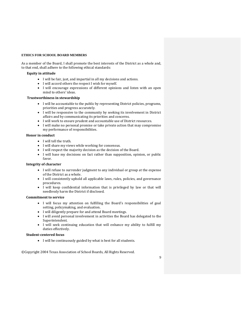#### **ETHICS FOR SCHOOL BOARD MEMBERS**

As a member of the Board, I shall promote the best interests of the District as a whole and, to that end, shall adhere to the following ethical standards:

#### **Equity in attitude**

- I will be fair, just, and impartial in all my decisions and actions.
- I will accord others the respect I wish for myself.
- I will encourage expressions of different opinions and listen with an open mind to others' ideas.

#### **Trustworthiness in stewardship**

- I will be accountable to the public by representing District policies, programs, priorities and progress accurately.
- I will be responsive to the community by seeking its involvement in District affairs and by communicating its priorities and concerns.
- I will work to ensure prudent and accountable use of District resources.
- I will make no personal promise or take private action that may compromise my performance of responsibilities.

#### **Honor in conduct**

- I will tell the truth.
- I will share my views while working for consensus.
- I will respect the majority decision as the decision of the Board.
- I will base my decisions on fact rather than supposition, opinion, or public favor.

#### **Integrity of character**

- I will refuse to surrender judgment to any individual or group at the expense of the District as a whole.
- I will consistently uphold all applicable laws, rules, policies, and governance procedures.
- I will keep confidential information that is privileged by law or that will needlessly harm the District if disclosed.

#### **Commitment to service**

- I will focus my attention on fulfilling the Board's responsibilities of goal setting, policymaking, and evaluation.
- I will diligently prepare for and attend Board meetings.
- I will avoid personal involvement in activities the Board has delegated to the Superintendent.
- I will seek continuing education that will enhance my ability to fulfill my duties effectively.

#### **Student-centered focus**

• I will be continuously guided by what is best for all students.

©Copyright 2004 Texas Association of School Boards, All Rights Reserved.